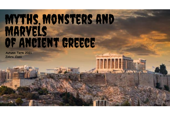# MYTHS, MONSTERS AND MARVELS OF ANCIENT GREECE

**Autumn Term 2021 Zebra Class**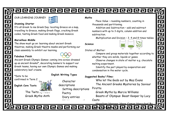# <u>eaeaeaeaeaea</u>

#### OUR LEARNING JOURNEY



It's all Greek to me Greek Day: locating Greece on a map, travelling to Greece, making Greek flags, cracking Greek codes, tasting Greek food and making Greek mosaics.

#### **Marvellous Middle**

The show must go on: learning about ancient Greek theatres, making Greek theatre masks and performing our class assembly to exhibit our learning.

#### **Fabulous Finish**

Ancient Greek Olympic Games: coming into school dressed up as ancient Greeks\*, decorating banners to support our Greek teams, having our own Olympic Games and making celebratory leaf crowns.

\*Date to be confirmed in Term 2

**English Core Texts** 



The Twits  $L_1$  Nowand Greek Myths Anth

#### Character descriptions Setting descriptions Poetry Diary entries

Writing over the contract of the contract of the contract of the contract of the contract of the contract of t<br>The contract of the contract of the contract of the contract of the contract of the contract of the contract o

**English Writing Types**

#### **Maths**

Place Value – rounding numbers, counting in thousands and partitioning.

Addition and Subtraction – add and subtract numbers with up to 3 digits, column addition and subtraction.

Multiplication and Division – 3, 4 and 8 times tables.

#### **Science**



T. Ŀ

E

몸

P

Ē

즴

P

 $\overline{\mathbf{r}}$ 

E

Ē

릶뭐

그  $\overline{\mathbf{r}}$ 

States of Matter:

Compare and group materials together according to whether they are solids, liquids or gases.

Observe changes in state of matter e.g. chocolate melting experiment.

Identify the part played by evaporation and condensation in the water cycle.

#### **Suggested Books/ Films:**

Who let the Gods out by Maz Evans The Ancient Greeks Mysteries by Saviour Pirotta

Greek Myths by Marcia Williams Beasts of Olympus: Beast Keeper by Lucy Coats

Hopeless Heroes: Here Comes Hercules! By

Reports <u>Belich Re</u>r Hercules (1997) Disney Film - PG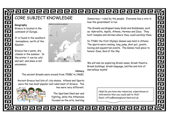# <u>eaeaeaeaeaeaeaeaeae</u>

## CORE SUBJECT KNOWLEDGE

#### **Geography**

Greece is located in the *continent* of *Europe*.

It is found in the *southern hemisphere*, north of the *Equator*.

Greece has a warm, dry *climate* in the summer. In the winter it can be cold and wet, and snow is not uncommon.



#### **History**

The ancient Greeks were around from 700BC to 146BC.

Ancient Greece had lots of *city states*. Athens and Sparta were the two most popular and ruled most of Greece. The

two were very different.



The Spartans liked war and fighting, while the Athenians focused on the arts, learning *Democracy* = ruled by the people. Everyone has a vote in how the government is run.

The Greeks worshipped many Gods and Goddesses, such as: Aphrodite, Apollo, Athena, Hermes and Zeus. They built temples and shrines where they could worship them. 민주민주민주민

Z

目鼻

P

E Z

E

므 Р

F

Z

In 776BC the first Olympic Games was held in Athens. The sports were running, long jump, shot put, javelin, boxing and equestrian events. The Games took place to honour Zeus, God of the Sky.

We will also be exploring Greek vases, Greek theatre, Greek buildings, Greek language, battles and lots of marvellous *myths*!

> Help! Do you have any resources, experiences or information that you could add to this? Email: office@sissinghurst.kent.sch.uk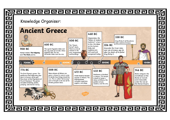